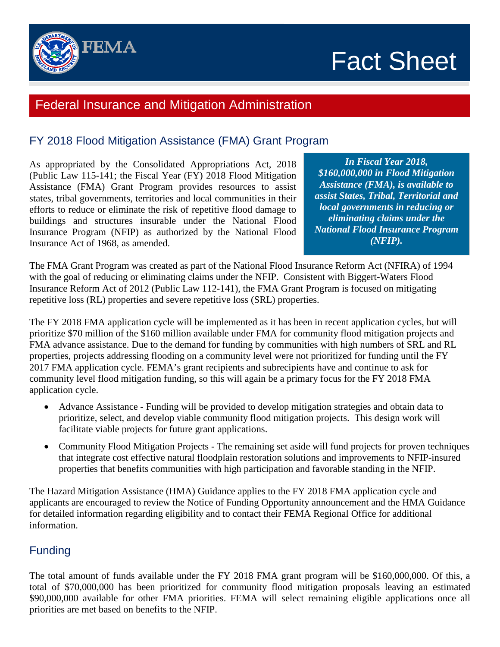

# Fact Sheet

## Federal Insurance and Mitigation Administration

## FY 2018 Flood Mitigation Assistance (FMA) Grant Program

As appropriated by the Consolidated Appropriations Act, 2018 (Public Law 115-141; the Fiscal Year (FY) 2018 Flood Mitigation Assistance (FMA) Grant Program provides resources to assist states, tribal governments, territories and local communities in their efforts to reduce or eliminate the risk of repetitive flood damage to buildings and structures insurable under the National Flood Insurance Program (NFIP) as authorized by the National Flood Insurance Act of 1968, as amended.

*In Fiscal Year 2018, \$160,000,000 in Flood Mitigation Assistance (FMA), is available to assist States, Tribal, Territorial and local governments in reducing or eliminating claims under the National Flood Insurance Program (NFIP).*

The FMA Grant Program was created as part of the National Flood Insurance Reform Act (NFIRA) of 1994 with the goal of reducing or eliminating claims under the NFIP. Consistent with Biggert-Waters Flood Insurance Reform Act of 2012 (Public Law 112-141), the FMA Grant Program is focused on mitigating repetitive loss (RL) properties and severe repetitive loss (SRL) properties.

The FY 2018 FMA application cycle will be implemented as it has been in recent application cycles, but will prioritize \$70 million of the \$160 million available under FMA for community flood mitigation projects and FMA advance assistance. Due to the demand for funding by communities with high numbers of SRL and RL properties, projects addressing flooding on a community level were not prioritized for funding until the FY 2017 FMA application cycle. FEMA's grant recipients and subrecipients have and continue to ask for community level flood mitigation funding, so this will again be a primary focus for the FY 2018 FMA application cycle.

- Advance Assistance Funding will be provided to develop mitigation strategies and obtain data to prioritize, select, and develop viable community flood mitigation projects. This design work will facilitate viable projects for future grant applications.
- Community Flood Mitigation Projects The remaining set aside will fund projects for proven techniques that integrate cost effective natural floodplain restoration solutions and improvements to NFIP-insured properties that benefits communities with high participation and favorable standing in the NFIP.

The Hazard Mitigation Assistance (HMA) Guidance applies to the FY 2018 FMA application cycle and applicants are encouraged to review the Notice of Funding Opportunity announcement and the HMA Guidance for detailed information regarding eligibility and to contact their FEMA Regional Office for additional information.

### **Funding**

The total amount of funds available under the FY 2018 FMA grant program will be \$160,000,000. Of this, a total of \$70,000,000 has been prioritized for community flood mitigation proposals leaving an estimated \$90,000,000 available for other FMA priorities. FEMA will select remaining eligible applications once all priorities are met based on benefits to the NFIP.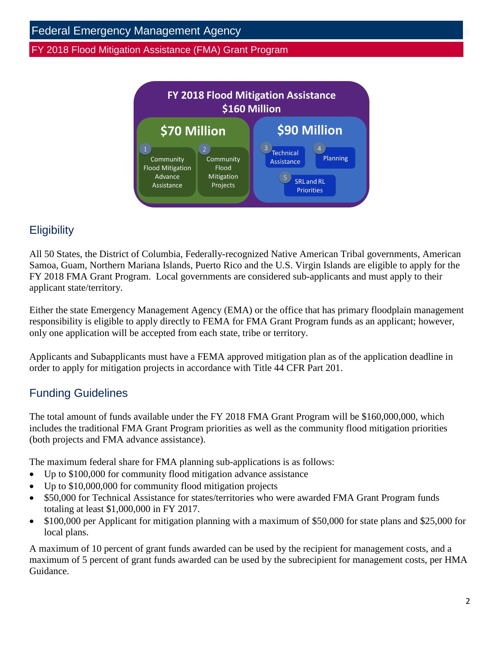

## **Eligibility**

All 50 States, the District of Columbia, Federally-recognized Native American Tribal governments, American Samoa, Guam, Northern Mariana Islands, Puerto Rico and the U.S. Virgin Islands are eligible to apply for the FY 2018 FMA Grant Program. Local governments are considered sub-applicants and must apply to their applicant state/territory.

Either the state Emergency Management Agency (EMA) or the office that has primary floodplain management responsibility is eligible to apply directly to FEMA for FMA Grant Program funds as an applicant; however, only one application will be accepted from each state, tribe or territory.

Applicants and Subapplicants must have a FEMA approved mitigation plan as of the application deadline in order to apply for mitigation projects in accordance with Title 44 CFR Part 201.

## Funding Guidelines

The total amount of funds available under the FY 2018 FMA Grant Program will be \$160,000,000, which includes the traditional FMA Grant Program priorities as well as the community flood mitigation priorities (both projects and FMA advance assistance).

The maximum federal share for FMA planning sub-applications is as follows:

- Up to \$100,000 for community flood mitigation advance assistance
- Up to \$10,000,000 for community flood mitigation projects
- \$50,000 for Technical Assistance for states/territories who were awarded FMA Grant Program funds totaling at least \$1,000,000 in FY 2017.
- \$100,000 per Applicant for mitigation planning with a maximum of \$50,000 for state plans and \$25,000 for local plans.

A maximum of 10 percent of grant funds awarded can be used by the recipient for management costs, and a maximum of 5 percent of grant funds awarded can be used by the subrecipient for management costs, per HMA Guidance.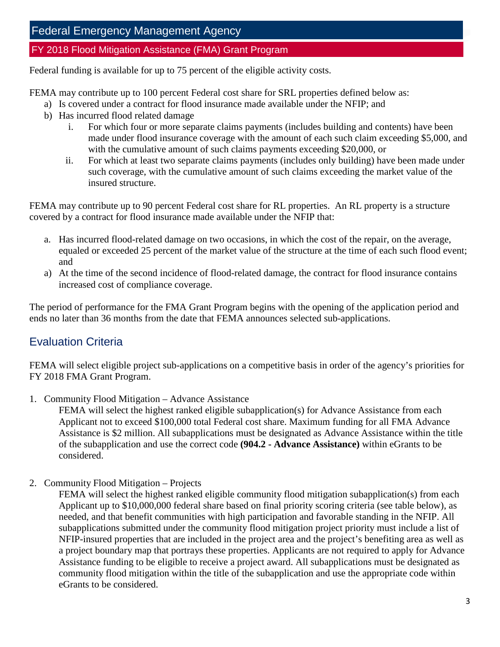Federal funding is available for up to 75 percent of the eligible activity costs.

FEMA may contribute up to 100 percent Federal cost share for SRL properties defined below as:

- a) Is covered under a contract for flood insurance made available under the NFIP; and
- b) Has incurred flood related damage
	- i. For which four or more separate claims payments (includes building and contents) have been made under flood insurance coverage with the amount of each such claim exceeding \$5,000, and with the cumulative amount of such claims payments exceeding \$20,000, or
	- ii. For which at least two separate claims payments (includes only building) have been made under such coverage, with the cumulative amount of such claims exceeding the market value of the insured structure.

FEMA may contribute up to 90 percent Federal cost share for RL properties. An RL property is a structure covered by a contract for flood insurance made available under the NFIP that:

- a. Has incurred flood-related damage on two occasions, in which the cost of the repair, on the average, equaled or exceeded 25 percent of the market value of the structure at the time of each such flood event; and
- a) At the time of the second incidence of flood-related damage, the contract for flood insurance contains increased cost of compliance coverage.

The period of performance for the FMA Grant Program begins with the opening of the application period and ends no later than 36 months from the date that FEMA announces selected sub-applications.

## Evaluation Criteria

FEMA will select eligible project sub-applications on a competitive basis in order of the agency's priorities for FY 2018 FMA Grant Program.

1. Community Flood Mitigation – Advance Assistance

FEMA will select the highest ranked eligible subapplication(s) for Advance Assistance from each Applicant not to exceed \$100,000 total Federal cost share. Maximum funding for all FMA Advance Assistance is \$2 million. All subapplications must be designated as Advance Assistance within the title of the subapplication and use the correct code **(904.2 - Advance Assistance)** within eGrants to be considered.

2. Community Flood Mitigation – Projects

FEMA will select the highest ranked eligible community flood mitigation subapplication(s) from each Applicant up to \$10,000,000 federal share based on final priority scoring criteria (see table below), as needed, and that benefit communities with high participation and favorable standing in the NFIP. All subapplications submitted under the community flood mitigation project priority must include a list of NFIP-insured properties that are included in the project area and the project's benefiting area as well as a project boundary map that portrays these properties. Applicants are not required to apply for Advance Assistance funding to be eligible to receive a project award. All subapplications must be designated as community flood mitigation within the title of the subapplication and use the appropriate code within eGrants to be considered.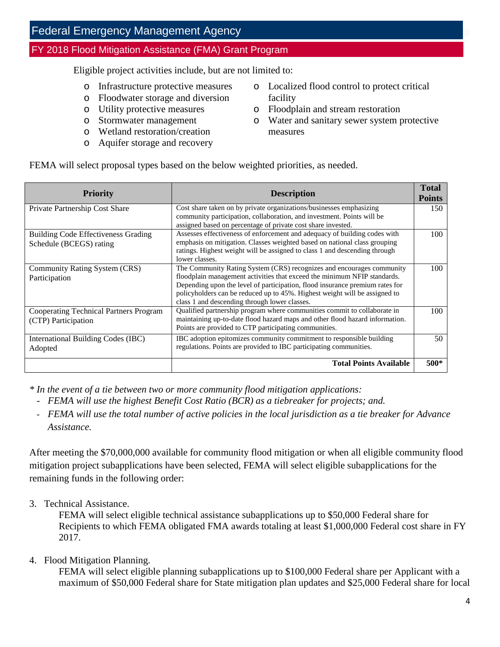Eligible project activities include, but are not limited to:

- o Infrastructure protective measures
- o Floodwater storage and diversion
- o Utility protective measures
- o Stormwater management
- o Wetland restoration/creation
- o Aquifer storage and recovery
- o Localized flood control to protect critical facility
- o Floodplain and stream restoration
- o Water and sanitary sewer system protective measures

FEMA will select proposal types based on the below weighted priorities, as needed.

| <b>Priority</b>                                                       | <b>Description</b>                                                                                                                                                                                                                                                                                                                                               | <b>Total</b><br><b>Points</b> |
|-----------------------------------------------------------------------|------------------------------------------------------------------------------------------------------------------------------------------------------------------------------------------------------------------------------------------------------------------------------------------------------------------------------------------------------------------|-------------------------------|
| Private Partnership Cost Share                                        | Cost share taken on by private organizations/businesses emphasizing<br>community participation, collaboration, and investment. Points will be<br>assigned based on percentage of private cost share invested.                                                                                                                                                    | 150                           |
| <b>Building Code Effectiveness Grading</b><br>Schedule (BCEGS) rating | Assesses effectiveness of enforcement and adequacy of building codes with<br>emphasis on mitigation. Classes weighted based on national class grouping<br>ratings. Highest weight will be assigned to class 1 and descending through<br>lower classes.                                                                                                           | 100                           |
| Community Rating System (CRS)<br>Participation                        | The Community Rating System (CRS) recognizes and encourages community<br>floodplain management activities that exceed the minimum NFIP standards.<br>Depending upon the level of participation, flood insurance premium rates for<br>policyholders can be reduced up to 45%. Highest weight will be assigned to<br>class 1 and descending through lower classes. | 100                           |
| <b>Cooperating Technical Partners Program</b><br>(CTP) Participation  | Qualified partnership program where communities commit to collaborate in<br>maintaining up-to-date flood hazard maps and other flood hazard information.<br>Points are provided to CTP participating communities.                                                                                                                                                | 100                           |
| International Building Codes (IBC)<br>Adopted                         | IBC adoption epitomizes community commitment to responsible building<br>regulations. Points are provided to IBC participating communities.                                                                                                                                                                                                                       | 50                            |
|                                                                       | <b>Total Points Available</b>                                                                                                                                                                                                                                                                                                                                    | $500*$                        |

*\* In the event of a tie between two or more community flood mitigation applications:* 

- *FEMA will use the highest Benefit Cost Ratio (BCR) as a tiebreaker for projects; and.*
- *FEMA will use the total number of active policies in the local jurisdiction as a tie breaker for Advance Assistance.*

After meeting the \$70,000,000 available for community flood mitigation or when all eligible community flood mitigation project subapplications have been selected, FEMA will select eligible subapplications for the remaining funds in the following order:

3. Technical Assistance.

FEMA will select eligible technical assistance subapplications up to \$50,000 Federal share for Recipients to which FEMA obligated FMA awards totaling at least \$1,000,000 Federal cost share in FY 2017.

4. Flood Mitigation Planning.

FEMA will select eligible planning subapplications up to \$100,000 Federal share per Applicant with a maximum of \$50,000 Federal share for State mitigation plan updates and \$25,000 Federal share for local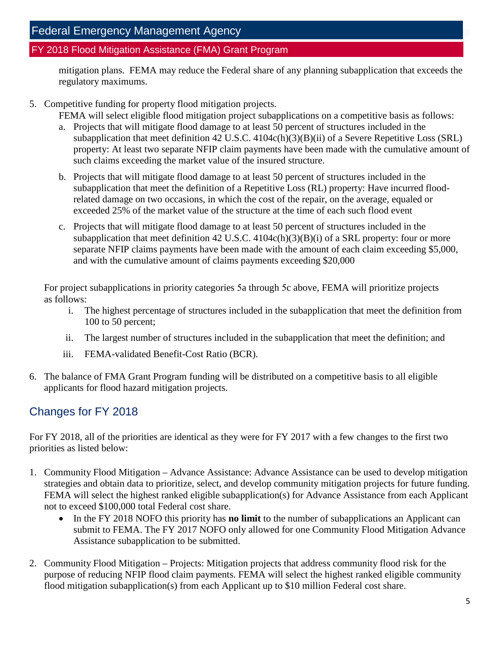mitigation plans. FEMA may reduce the Federal share of any planning subapplication that exceeds the regulatory maximums.

5. Competitive funding for property flood mitigation projects.

FEMA will select eligible flood mitigation project subapplications on a competitive basis as follows:

- a. Projects that will mitigate flood damage to at least 50 percent of structures included in the subapplication that meet definition 42 U.S.C. 4104c(h)(3)(B)(ii) of a Severe Repetitive Loss (SRL) property: At least two separate NFIP claim payments have been made with the cumulative amount of such claims exceeding the market value of the insured structure.
- b. Projects that will mitigate flood damage to at least 50 percent of structures included in the subapplication that meet the definition of a Repetitive Loss (RL) property: Have incurred floodrelated damage on two occasions, in which the cost of the repair, on the average, equaled or exceeded 25% of the market value of the structure at the time of each such flood event
- c. Projects that will mitigate flood damage to at least 50 percent of structures included in the subapplication that meet definition 42 U.S.C. 4104c(h)(3)(B)(i) of a SRL property: four or more separate NFIP claims payments have been made with the amount of each claim exceeding \$5,000, and with the cumulative amount of claims payments exceeding \$20,000

For project subapplications in priority categories 5a through 5c above, FEMA will prioritize projects as follows:

- i. The highest percentage of structures included in the subapplication that meet the definition from 100 to 50 percent;
- ii. The largest number of structures included in the subapplication that meet the definition; and
- iii. FEMA-validated Benefit-Cost Ratio (BCR).
- 6. The balance of FMA Grant Program funding will be distributed on a competitive basis to all eligible applicants for flood hazard mitigation projects.

## Changes for FY 2018

For FY 2018, all of the priorities are identical as they were for FY 2017 with a few changes to the first two priorities as listed below:

- 1. Community Flood Mitigation Advance Assistance: Advance Assistance can be used to develop mitigation strategies and obtain data to prioritize, select, and develop community mitigation projects for future funding. FEMA will select the highest ranked eligible subapplication(s) for Advance Assistance from each Applicant not to exceed \$100,000 total Federal cost share.
	- In the FY 2018 NOFO this priority has **no limit** to the number of subapplications an Applicant can submit to FEMA. The FY 2017 NOFO only allowed for one Community Flood Mitigation Advance Assistance subapplication to be submitted.
- 2. Community Flood Mitigation Projects: Mitigation projects that address community flood risk for the purpose of reducing NFIP flood claim payments. FEMA will select the highest ranked eligible community flood mitigation subapplication(s) from each Applicant up to \$10 million Federal cost share.